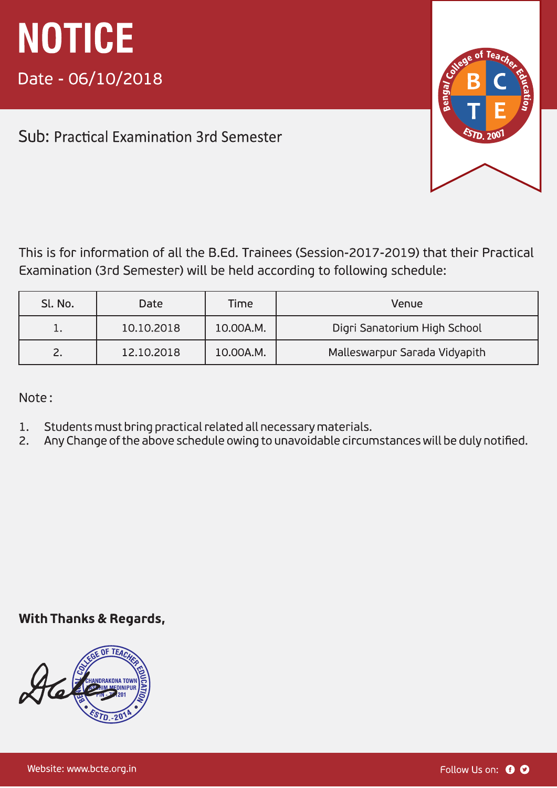Sub: Practical Examination 3rd Semester

This is for information of all the B.Ed. Trainees (Session-2017-2019) that their Practical Examination (3rd Semester) will be held according to following schedule:

| Sl. No. | <b>Date</b> | Time      | Venue                         |
|---------|-------------|-----------|-------------------------------|
| ه با    | 10.10.2018  | 10.00A.M. | Digri Sanatorium High School  |
|         | 12.10.2018  | 10.00A.M. | Malleswarpur Sarada Vidyapith |

Note:

- Students must bring practical related all necessary materials.  $1.$
- Any Change of the above schedule owing to unavoidable circumstances will be duly notified.  $\overline{2}$ .

#### **With Thanks & Regards,**

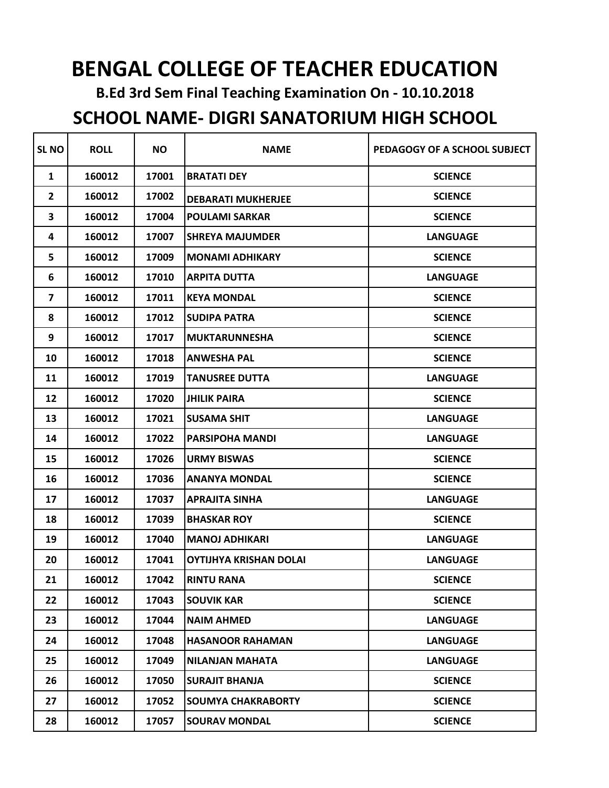## **BENGAL COLLEGE OF TEACHER EDUCATION**

**B.Ed 3rd Sem Final Teaching Examination On - 10.10.2018**

## **SCHOOL NAME- DIGRI SANATORIUM HIGH SCHOOL**

| <b>SL NO</b>   | <b>ROLL</b> | <b>NO</b> | <b>NAME</b>                   | PEDAGOGY OF A SCHOOL SUBJECT |
|----------------|-------------|-----------|-------------------------------|------------------------------|
| $\mathbf{1}$   | 160012      | 17001     | <b>BRATATI DEY</b>            | <b>SCIENCE</b>               |
| $\overline{2}$ | 160012      | 17002     | <b>DEBARATI MUKHERJEE</b>     | <b>SCIENCE</b>               |
| 3              | 160012      | 17004     | <b>POULAMI SARKAR</b>         | <b>SCIENCE</b>               |
| 4              | 160012      | 17007     | <b>SHREYA MAJUMDER</b>        | <b>LANGUAGE</b>              |
| 5              | 160012      | 17009     | <b>MONAMI ADHIKARY</b>        | <b>SCIENCE</b>               |
| 6              | 160012      | 17010     | <b>ARPITA DUTTA</b>           | <b>LANGUAGE</b>              |
| 7              | 160012      | 17011     | <b>KEYA MONDAL</b>            | <b>SCIENCE</b>               |
| 8              | 160012      | 17012     | <b>SUDIPA PATRA</b>           | <b>SCIENCE</b>               |
| 9              | 160012      | 17017     | <b>MUKTARUNNESHA</b>          | <b>SCIENCE</b>               |
| 10             | 160012      | 17018     | <b>ANWESHA PAL</b>            | <b>SCIENCE</b>               |
| 11             | 160012      | 17019     | <b>TANUSREE DUTTA</b>         | <b>LANGUAGE</b>              |
| 12             | 160012      | 17020     | <b>JHILIK PAIRA</b>           | <b>SCIENCE</b>               |
| 13             | 160012      | 17021     | <b>SUSAMA SHIT</b>            | <b>LANGUAGE</b>              |
| 14             | 160012      | 17022     | <b>PARSIPOHA MANDI</b>        | <b>LANGUAGE</b>              |
| 15             | 160012      | 17026     | <b>URMY BISWAS</b>            | <b>SCIENCE</b>               |
| 16             | 160012      | 17036     | <b>ANANYA MONDAL</b>          | <b>SCIENCE</b>               |
| 17             | 160012      | 17037     | <b>APRAJITA SINHA</b>         | <b>LANGUAGE</b>              |
| 18             | 160012      | 17039     | <b>BHASKAR ROY</b>            | <b>SCIENCE</b>               |
| 19             | 160012      | 17040     | <b>MANOJ ADHIKARI</b>         | <b>LANGUAGE</b>              |
| 20             | 160012      | 17041     | <b>OYTIJHYA KRISHAN DOLAI</b> | <b>LANGUAGE</b>              |
| 21             | 160012      | 17042     | <b>RINTU RANA</b>             | <b>SCIENCE</b>               |
| 22             | 160012      | 17043     | <b>SOUVIK KAR</b>             | <b>SCIENCE</b>               |
| 23             | 160012      | 17044     | <b>NAIM AHMED</b>             | <b>LANGUAGE</b>              |
| 24             | 160012      | 17048     | <b>HASANOOR RAHAMAN</b>       | <b>LANGUAGE</b>              |
| 25             | 160012      | 17049     | <b>NILANJAN MAHATA</b>        | <b>LANGUAGE</b>              |
| 26             | 160012      | 17050     | <b>SURAJIT BHANJA</b>         | <b>SCIENCE</b>               |
| 27             | 160012      | 17052     | <b>SOUMYA CHAKRABORTY</b>     | <b>SCIENCE</b>               |
| 28             | 160012      | 17057     | <b>SOURAV MONDAL</b>          | <b>SCIENCE</b>               |